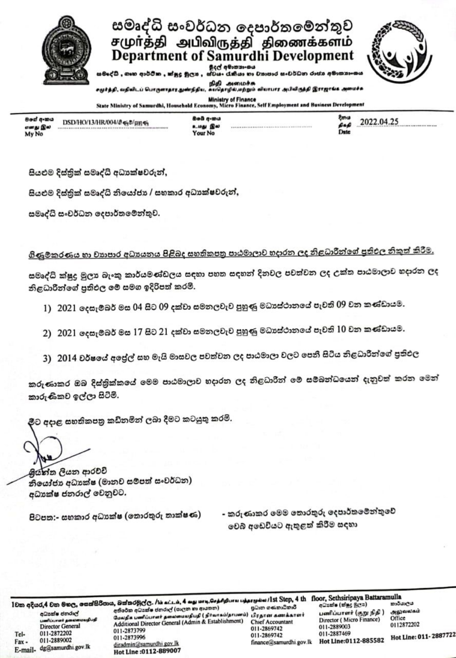

.<br>සමදේධී , ගෘහ ආර්ථික , ක්ෂුදු මූලය , ස්වයං රැකියා හා වාහාපාර සංවර්ධන රාජය අමාතනාංශය

.<br>சமுர்த்தி, வதிவிடப் பொருளாதார துண்நிதிய, கயதொழில்,மற்றும் வியாபார அபிவிருத்தி இராஜாங்க அமைச்சு

Ministry of Finance<br>State Ministry of Samurdhi, Household Economy, Micro Finance, Self Employment and Business Development

| මගේ අංකය<br>எனது இல | DSD/HO/13/HR/004/8 68/ду 68 |
|---------------------|-----------------------------|
| My No               |                             |

Bob q-mu உமது இல Your No

2022.04.25 pap

සියළුම දිස්තුික් සමෘද්ධි අධාාක්ෂවරුන්,

සියළුම දිස්තික් සමෘද්ධි නියෝජා / සහකාර අධාක්ෂවරුන්,

සමෘද්ධි සංවර්ධන දෙපාර්තමේන්තුව.

ගිණුමකරණය හා වාහපාර අධාහනය පිළිබද සහතිකපතු පාඨමාලාව හදාරන ලද නිළධාරීන්ගේ පුතිඵල නිකුත් කිරීම.

සමෘද්ධි ක්ෂුදු මුලා බැංකු කාර්යමණ්ඩලය සඳහා පහත සඳහන් දිනවල පවත්වන ලද උක්ත පාඨමාලාව හදාරන ලද නිළධාරීන්ගේ පුතිඵල මේ සමග ඉදිරිපත් කරමි.

- 1) 2021 දෙසැම්බර් මස 04 සිට 09 දක්වා සමනලවැව පුහුණු මධාස්ථානයේ පැවති 09 වන කණ්ඩායම.
- 2) 2021 දෙසැම්බර් මස 17 සිට 21 දක්වා සමනලවැව පුහුණු මධාස්ථානයේ පැවති 10 වන කණ්ඩායම.
- 3) 2014 වර්ෂයේ අපේල් සහ මැයි මාසවල පවත්වන ලද පාඨමාලා වලට පෙනී සිටිය නිළධාරීන්ගේ පුතිඵල

කරුණාකර ඔබ දිස්තුික්කයේ මෙම පාඨමාලාව හදාරන ලද නිළධාරීන් මේ සම්බන්ධයෙන් දැනුවත් කරන මෙන් කාරුණිකව ඉල්ලා සිටිමි.

මීට අදාළ සහතිකපතු කඩිනමින් ලබා දීමට කටයුතු කරමි.

මුග්ත්ත ලියන ආරච්චි නියෝජා අධාකේෂ (මානව සම්පත් සංවර්ධන) අධාක්ෂ ජනරාල් වෙනුවට.

පිටපත:- සහකාර අධාාක්ෂ (තොරතුරු තාක්ෂණ)

- කරුණාකර මෙම තොරතුරු දෙපාර්තමේන්තුවේ වෙබ් අඩෙවියට ඇතුළත් කිරීම සදහා

1වක අදියර,4 වන මහල, සෙක්සිරිපාය, බක්තරමුල්ල. /bi aci.i.u, 4 agu uru, செத்திதியாய பத்தாரும்ம /1st Step, 4 th floor, Sethsiripaya Battaramulla අධායක්ෂ ජනරාල්

umflourert geneemen<br>Director General Tel-011-2872202 011-2889002  $Fax -$ E-mail- dg@samurdhi.gov.lk

අතිරේක අධ්යක්ෂ ජනරාල් (පාලන හා ආයතන) மேலதிக் பணிப்பாளர் தலைமையதிபதி ( நிர்வாகம்/தாபனம்). பிரதான கணக்காளர் Additional Director General (Admin & Establishment) 011-2873799 011-2873996 diradmin@samurdhi.gov.lk Hot Line: 0112-889007

පුධාන ගණකාධිකාරී **Chief Accountant** 011-2869742 011-2869742 finance@samurdhi.gov.lk Hot Line:0112-885582

பனிப்பாளர் (குறு நிதி ) Director (Micro Finance) 011-2889003 011-2887469

කාර්යාලය அலுவலகம் Office 0112872202

Hot Line: 011-2887722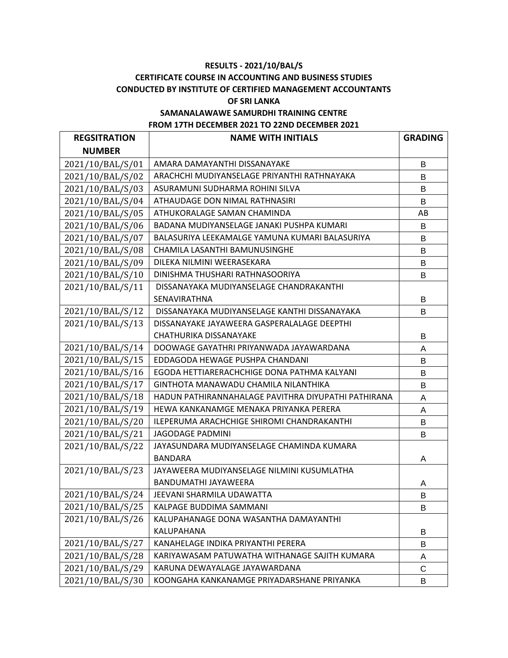# **RESULTS - 2021/10/BAL/S CERTIFICATE COURSE IN ACCOUNTING AND BUSINESS STUDIES CONDUCTED BY INSTITUTE OF CERTIFIED MANAGEMENT ACCOUNTANTS OF SRI LANKA**

# **SAMANALAWAWE SAMURDHI TRAINING CENTRE FROM 17TH DECEMBER 2021 TO 22ND DECEMBER 2021**

| <b>REGSITRATION</b> | <b>NAME WITH INITIALS</b>                           | <b>GRADING</b> |
|---------------------|-----------------------------------------------------|----------------|
| <b>NUMBER</b>       |                                                     |                |
| 2021/10/BAL/S/01    | AMARA DAMAYANTHI DISSANAYAKE                        | B              |
| 2021/10/BAL/S/02    | ARACHCHI MUDIYANSELAGE PRIYANTHI RATHNAYAKA         | В              |
| 2021/10/BAL/S/03    | ASURAMUNI SUDHARMA ROHINI SILVA                     | B              |
| 2021/10/BAL/S/04    | ATHAUDAGE DON NIMAL RATHNASIRI                      | B              |
| 2021/10/BAL/S/05    | ATHUKORALAGE SAMAN CHAMINDA                         | AB             |
| 2021/10/BAL/S/06    | BADANA MUDIYANSELAGE JANAKI PUSHPA KUMARI           | B              |
| 2021/10/BAL/S/07    | BALASURIYA LEEKAMALGE YAMUNA KUMARI BALASURIYA      | В              |
| 2021/10/BAL/S/08    | CHAMILA LASANTHI BAMUNUSINGHE                       | B              |
| 2021/10/BAL/S/09    | DILEKA NILMINI WEERASEKARA                          | B              |
| 2021/10/BAL/S/10    | DINISHMA THUSHARI RATHNASOORIYA                     | В              |
| 2021/10/BAL/S/11    | DISSANAYAKA MUDIYANSELAGE CHANDRAKANTHI             |                |
|                     | SENAVIRATHNA                                        | B              |
| 2021/10/BAL/S/12    | DISSANAYAKA MUDIYANSELAGE KANTHI DISSANAYAKA        | B              |
| 2021/10/BAL/S/13    | DISSANAYAKE JAYAWEERA GASPERALALAGE DEEPTHI         |                |
|                     | CHATHURIKA DISSANAYAKE                              | В              |
| 2021/10/BAL/S/14    | DOOWAGE GAYATHRI PRIYANWADA JAYAWARDANA             | Α              |
| 2021/10/BAL/S/15    | EDDAGODA HEWAGE PUSHPA CHANDANI                     | B              |
| 2021/10/BAL/S/16    | EGODA HETTIARERACHCHIGE DONA PATHMA KALYANI         | B              |
| 2021/10/BAL/S/17    | GINTHOTA MANAWADU CHAMILA NILANTHIKA                | B              |
| 2021/10/BAL/S/18    | HADUN PATHIRANNAHALAGE PAVITHRA DIYUPATHI PATHIRANA | A              |
| 2021/10/BAL/S/19    | HEWA KANKANAMGE MENAKA PRIYANKA PERERA              | A              |
| 2021/10/BAL/S/20    | ILEPERUMA ARACHCHIGE SHIROMI CHANDRAKANTHI          | В              |
| 2021/10/BAL/S/21    | <b>JAGODAGE PADMINI</b>                             | B              |
| 2021/10/BAL/S/22    | JAYASUNDARA MUDIYANSELAGE CHAMINDA KUMARA           |                |
|                     | <b>BANDARA</b>                                      | Α              |
| 2021/10/BAL/S/23    | JAYAWEERA MUDIYANSELAGE NILMINI KUSUMLATHA          |                |
|                     | BANDUMATHI JAYAWEERA                                | A              |
| 2021/10/BAL/S/24    | JEEVANI SHARMILA UDAWATTA                           | B              |
| 2021/10/BAL/S/25    | KALPAGE BUDDIMA SAMMANI                             | В              |
| 2021/10/BAL/S/26    | KALUPAHANAGE DONA WASANTHA DAMAYANTHI               |                |
|                     | KALUPAHANA                                          | B              |
| 2021/10/BAL/S/27    | KANAHELAGE INDIKA PRIYANTHI PERERA                  | В              |
| 2021/10/BAL/S/28    | KARIYAWASAM PATUWATHA WITHANAGE SAJITH KUMARA       | A              |
| 2021/10/BAL/S/29    | KARUNA DEWAYALAGE JAYAWARDANA                       | C              |
| 2021/10/BAL/S/30    | KOONGAHA KANKANAMGE PRIYADARSHANE PRIYANKA          | B              |